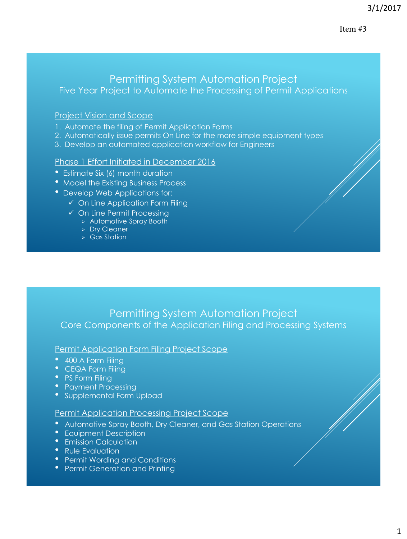### Item #3

# Permitting System Automation Project Five Year Project to Automate the Processing of Permit Applications

## Project Vision and Scope

- 1. Automate the filing of Permit Application Forms
- 2. Automatically issue permits On Line for the more simple equipment types
- 3. Develop an automated application workflow for Engineers

### Phase 1 Effort Initiated in December 2016

- Estimate Six (6) month duration
- Model the Existing Business Process
- Develop Web Applications for:
	- $\checkmark$  On Line Application Form Filing
	- On Line Permit Processing
		- Automotive Spray Booth
		- > Dry Cleaner
		- Gas Station

# Permitting System Automation Project Core Components of the Application Filing and Processing Systems

### Permit Application Form Filing Project Scope

- 400 A Form Filing
- CEQA Form Filing
- PS Form Filing
- Payment Processing
- Supplemental Form Upload

## Permit Application Processing Project Scope

- Automotive Spray Booth, Dry Cleaner, and Gas Station Operations
- Equipment Description
- Emission Calculation
- Rule Evaluation
- Permit Wording and Conditions
- Permit Generation and Printing